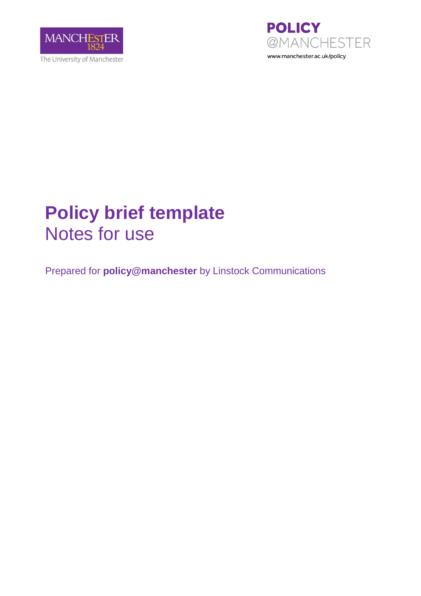



# **Policy brief template** Notes for use

Prepared for **policy@manchester** by Linstock Communications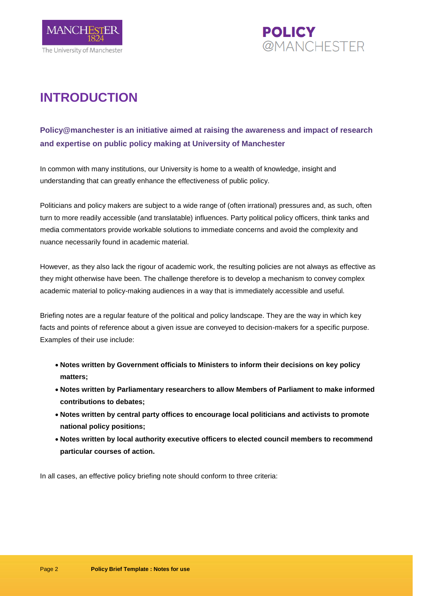



## **INTRODUCTION**

### **Policy@manchester is an initiative aimed at raising the awareness and impact of research and expertise on public policy making at University of Manchester**

In common with many institutions, our University is home to a wealth of knowledge, insight and understanding that can greatly enhance the effectiveness of public policy.

Politicians and policy makers are subject to a wide range of (often irrational) pressures and, as such, often turn to more readily accessible (and translatable) influences. Party political policy officers, think tanks and media commentators provide workable solutions to immediate concerns and avoid the complexity and nuance necessarily found in academic material.

However, as they also lack the rigour of academic work, the resulting policies are not always as effective as they might otherwise have been. The challenge therefore is to develop a mechanism to convey complex academic material to policy-making audiences in a way that is immediately accessible and useful.

Briefing notes are a regular feature of the political and policy landscape. They are the way in which key facts and points of reference about a given issue are conveyed to decision-makers for a specific purpose. Examples of their use include:

- **Notes written by Government officials to Ministers to inform their decisions on key policy matters;**
- **Notes written by Parliamentary researchers to allow Members of Parliament to make informed contributions to debates;**
- **Notes written by central party offices to encourage local politicians and activists to promote national policy positions;**
- **Notes written by local authority executive officers to elected council members to recommend particular courses of action.**

In all cases, an effective policy briefing note should conform to three criteria: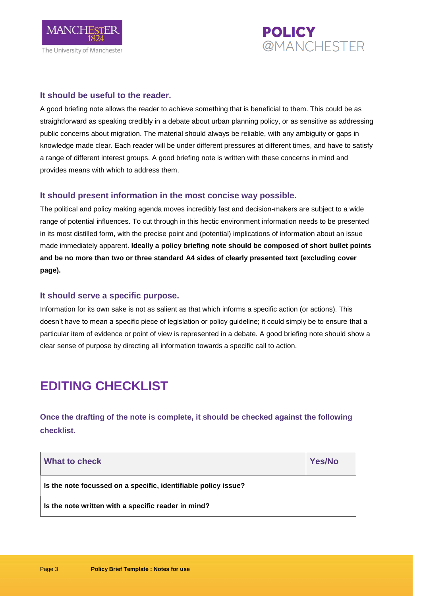



#### **It should be useful to the reader.**

A good briefing note allows the reader to achieve something that is beneficial to them. This could be as straightforward as speaking credibly in a debate about urban planning policy, or as sensitive as addressing public concerns about migration. The material should always be reliable, with any ambiguity or gaps in knowledge made clear. Each reader will be under different pressures at different times, and have to satisfy a range of different interest groups. A good briefing note is written with these concerns in mind and provides means with which to address them.

#### **It should present information in the most concise way possible.**

The political and policy making agenda moves incredibly fast and decision-makers are subject to a wide range of potential influences. To cut through in this hectic environment information needs to be presented in its most distilled form, with the precise point and (potential) implications of information about an issue made immediately apparent. **Ideally a policy briefing note should be composed of short bullet points and be no more than two or three standard A4 sides of clearly presented text (excluding cover page).**

#### **It should serve a specific purpose.**

Information for its own sake is not as salient as that which informs a specific action (or actions). This doesn't have to mean a specific piece of legislation or policy guideline; it could simply be to ensure that a particular item of evidence or point of view is represented in a debate. A good briefing note should show a clear sense of purpose by directing all information towards a specific call to action.

### **EDITING CHECKLIST**

**Once the drafting of the note is complete, it should be checked against the following checklist.**

| What to check                                                  | Yes/No |
|----------------------------------------------------------------|--------|
| Is the note focussed on a specific, identifiable policy issue? |        |
| Is the note written with a specific reader in mind?            |        |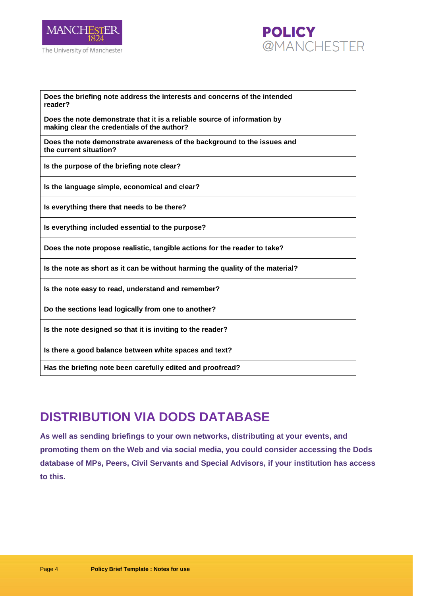



| Does the briefing note address the interests and concerns of the intended<br>reader?                                    |  |
|-------------------------------------------------------------------------------------------------------------------------|--|
| Does the note demonstrate that it is a reliable source of information by<br>making clear the credentials of the author? |  |
| Does the note demonstrate awareness of the background to the issues and<br>the current situation?                       |  |
| Is the purpose of the briefing note clear?                                                                              |  |
| Is the language simple, economical and clear?                                                                           |  |
| Is everything there that needs to be there?                                                                             |  |
| Is everything included essential to the purpose?                                                                        |  |
| Does the note propose realistic, tangible actions for the reader to take?                                               |  |
| Is the note as short as it can be without harming the quality of the material?                                          |  |
| Is the note easy to read, understand and remember?                                                                      |  |
| Do the sections lead logically from one to another?                                                                     |  |
| Is the note designed so that it is inviting to the reader?                                                              |  |
| Is there a good balance between white spaces and text?                                                                  |  |
| Has the briefing note been carefully edited and proofread?                                                              |  |

### **DISTRIBUTION VIA DODS DATABASE**

**As well as sending briefings to your own networks, distributing at your events, and promoting them on the Web and via social media, you could consider accessing the Dods database of MPs, Peers, Civil Servants and Special Advisors, if your institution has access to this.**